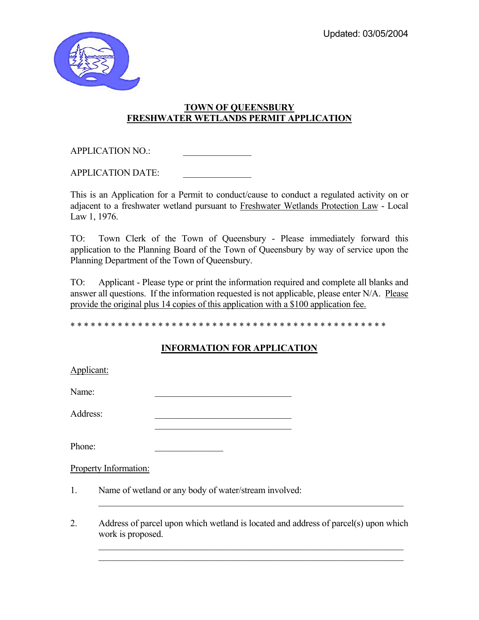

## **TOWN OF QUEENSBURY FRESHWATER WETLANDS PERMIT APPLICATION**

APPLICATION NO.:

APPLICATION DATE:

This is an Application for a Permit to conduct/cause to conduct a regulated activity on or adjacent to a freshwater wetland pursuant to Freshwater Wetlands Protection Law - Local Law 1, 1976.

TO: Town Clerk of the Town of Queensbury - Please immediately forward this application to the Planning Board of the Town of Queensbury by way of service upon the Planning Department of the Town of Queensbury.

TO: Applicant - Please type or print the information required and complete all blanks and answer all questions. If the information requested is not applicable, please enter N/A. Please provide the original plus 14 copies of this application with a \$100 application fee.

\* \* \* \* \* \* \* \* \* \* \* \* \* \* \* \* \* \* \* \* \* \* \* \* \* \* \* \* \* \* \* \* \* \* \* \* \* \* \* \* \* \* \* \* \* \* \*

## **INFORMATION FOR APPLICATION**

| Applicant:  |                       |                                                                                     |
|-------------|-----------------------|-------------------------------------------------------------------------------------|
| Name:       |                       |                                                                                     |
| Address:    |                       |                                                                                     |
| Phone:      |                       |                                                                                     |
|             | Property Information: |                                                                                     |
| $1_{\cdot}$ |                       | Name of wetland or any body of water/stream involved:                               |
| 2.          | work is proposed.     | Address of parcel upon which wetland is located and address of parcel(s) upon which |

 $\mathcal{L}_\text{max} = \mathcal{L}_\text{max} = \mathcal{L}_\text{max} = \mathcal{L}_\text{max} = \mathcal{L}_\text{max} = \mathcal{L}_\text{max} = \mathcal{L}_\text{max} = \mathcal{L}_\text{max} = \mathcal{L}_\text{max} = \mathcal{L}_\text{max} = \mathcal{L}_\text{max} = \mathcal{L}_\text{max} = \mathcal{L}_\text{max} = \mathcal{L}_\text{max} = \mathcal{L}_\text{max} = \mathcal{L}_\text{max} = \mathcal{L}_\text{max} = \mathcal{L}_\text{max} = \mathcal{$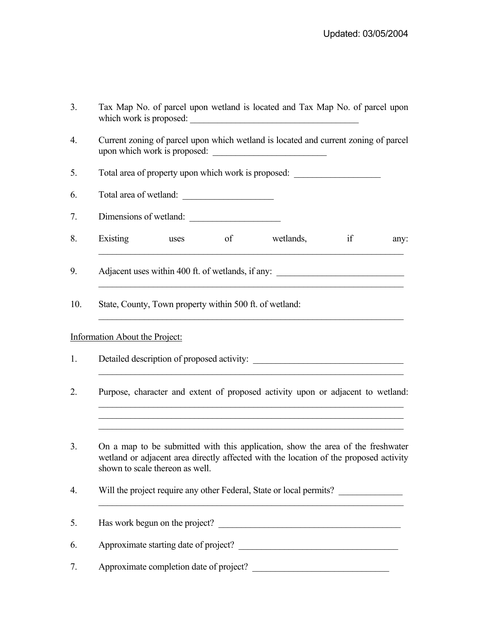| Tax Map No. of parcel upon wetland is located and Tax Map No. of parcel upon |  |  |  |  |  |  |
|------------------------------------------------------------------------------|--|--|--|--|--|--|
| which work is proposed:                                                      |  |  |  |  |  |  |

4. Current zoning of parcel upon which wetland is located and current zoning of parcel upon which work is proposed:

5. Total area of property upon which work is proposed: \_\_\_\_\_\_\_\_\_\_\_\_\_\_\_\_\_\_\_\_\_\_\_\_\_

6. Total area of wetland:

7. Dimensions of wetland:

8. Existing uses of wetlands, if any:  $\_$  , and the set of the set of the set of the set of the set of the set of the set of the set of the set of the set of the set of the set of the set of the set of the set of the set of the set of the set of the set of th

\_\_\_\_\_\_\_\_\_\_\_\_\_\_\_\_\_\_\_\_\_\_\_\_\_\_\_\_\_\_\_\_\_\_\_\_\_\_\_\_\_\_\_\_\_\_\_\_\_\_\_\_\_\_\_\_\_\_\_\_\_\_\_\_\_\_\_

 $\mathcal{L}_\mathcal{L} = \{ \mathcal{L}_\mathcal{L} = \{ \mathcal{L}_\mathcal{L} = \{ \mathcal{L}_\mathcal{L} = \{ \mathcal{L}_\mathcal{L} = \{ \mathcal{L}_\mathcal{L} = \{ \mathcal{L}_\mathcal{L} = \{ \mathcal{L}_\mathcal{L} = \{ \mathcal{L}_\mathcal{L} = \{ \mathcal{L}_\mathcal{L} = \{ \mathcal{L}_\mathcal{L} = \{ \mathcal{L}_\mathcal{L} = \{ \mathcal{L}_\mathcal{L} = \{ \mathcal{L}_\mathcal{L} = \{ \mathcal{L}_\mathcal{$ 

9. Adjacent uses within 400 ft. of wetlands, if any:

10. State, County, Town property within 500 ft. of wetland:

## Information About the Project:

- 1. Detailed description of proposed activity: \_\_\_\_\_\_\_\_\_\_\_\_\_\_\_\_\_\_\_\_\_\_\_\_\_\_\_\_\_\_\_\_\_\_  $\mathcal{L}_\mathcal{L} = \mathcal{L}_\mathcal{L} = \mathcal{L}_\mathcal{L} = \mathcal{L}_\mathcal{L} = \mathcal{L}_\mathcal{L} = \mathcal{L}_\mathcal{L} = \mathcal{L}_\mathcal{L} = \mathcal{L}_\mathcal{L} = \mathcal{L}_\mathcal{L} = \mathcal{L}_\mathcal{L} = \mathcal{L}_\mathcal{L} = \mathcal{L}_\mathcal{L} = \mathcal{L}_\mathcal{L} = \mathcal{L}_\mathcal{L} = \mathcal{L}_\mathcal{L} = \mathcal{L}_\mathcal{L} = \mathcal{L}_\mathcal{L}$
- 2. Purpose, character and extent of proposed activity upon or adjacent to wetland:

 $\mathcal{L}_\text{max} = \mathcal{L}_\text{max} = \mathcal{L}_\text{max} = \mathcal{L}_\text{max} = \mathcal{L}_\text{max} = \mathcal{L}_\text{max} = \mathcal{L}_\text{max} = \mathcal{L}_\text{max} = \mathcal{L}_\text{max} = \mathcal{L}_\text{max} = \mathcal{L}_\text{max} = \mathcal{L}_\text{max} = \mathcal{L}_\text{max} = \mathcal{L}_\text{max} = \mathcal{L}_\text{max} = \mathcal{L}_\text{max} = \mathcal{L}_\text{max} = \mathcal{L}_\text{max} = \mathcal{$  $\mathcal{L}_\mathcal{L} = \mathcal{L}_\mathcal{L} = \mathcal{L}_\mathcal{L} = \mathcal{L}_\mathcal{L} = \mathcal{L}_\mathcal{L} = \mathcal{L}_\mathcal{L} = \mathcal{L}_\mathcal{L} = \mathcal{L}_\mathcal{L} = \mathcal{L}_\mathcal{L} = \mathcal{L}_\mathcal{L} = \mathcal{L}_\mathcal{L} = \mathcal{L}_\mathcal{L} = \mathcal{L}_\mathcal{L} = \mathcal{L}_\mathcal{L} = \mathcal{L}_\mathcal{L} = \mathcal{L}_\mathcal{L} = \mathcal{L}_\mathcal{L}$ 

 $\mathcal{L}_\mathcal{L} = \{ \mathcal{L}_\mathcal{L} = \{ \mathcal{L}_\mathcal{L} = \{ \mathcal{L}_\mathcal{L} = \{ \mathcal{L}_\mathcal{L} = \{ \mathcal{L}_\mathcal{L} = \{ \mathcal{L}_\mathcal{L} = \{ \mathcal{L}_\mathcal{L} = \{ \mathcal{L}_\mathcal{L} = \{ \mathcal{L}_\mathcal{L} = \{ \mathcal{L}_\mathcal{L} = \{ \mathcal{L}_\mathcal{L} = \{ \mathcal{L}_\mathcal{L} = \{ \mathcal{L}_\mathcal{L} = \{ \mathcal{L}_\mathcal{$ 

- 3. On a map to be submitted with this application, show the area of the freshwater wetland or adjacent area directly affected with the location of the proposed activity shown to scale thereon as well.
- 4. Will the project require any other Federal, State or local permits? \_\_\_\_\_\_\_\_\_\_\_\_\_\_\_\_\_\_\_\_\_\_\_\_\_\_\_\_\_\_\_\_\_\_\_\_\_\_\_\_\_\_\_\_\_\_\_\_\_\_\_\_\_\_\_\_\_\_\_\_\_\_\_\_\_\_\_
- 5. Has work begun on the project?

6. Approximate starting date of project?

7. Approximate completion date of project? \_\_\_\_\_\_\_\_\_\_\_\_\_\_\_\_\_\_\_\_\_\_\_\_\_\_\_\_\_\_